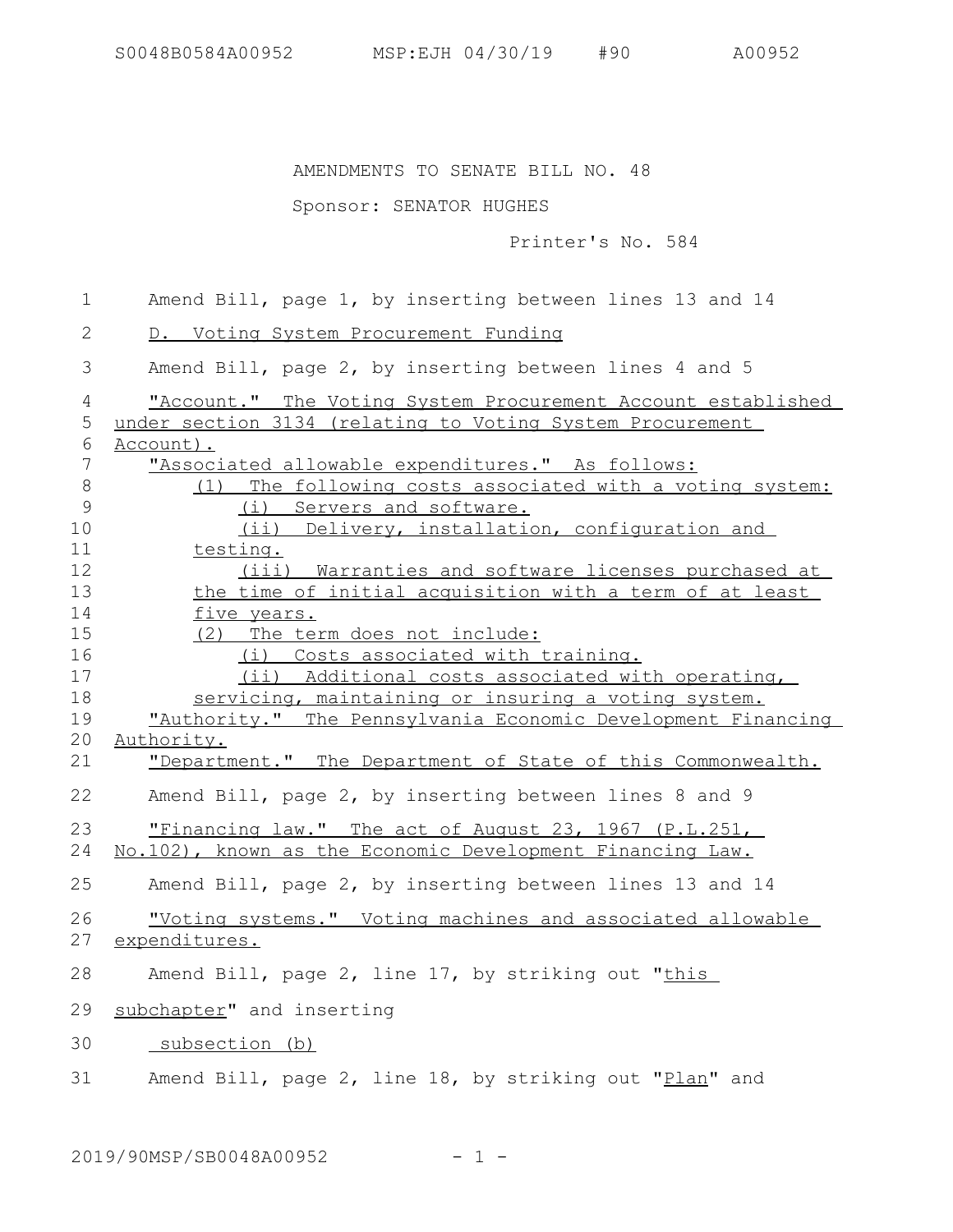## AMENDMENTS TO SENATE BILL NO. 48

## Sponsor: SENATOR HUGHES

Printer's No. 584

Amend Bill, page 1, by inserting between lines 13 and 14 D. Voting System Procurement Funding Amend Bill, page 2, by inserting between lines 4 and 5 "Account." The Voting System Procurement Account established under section 3134 (relating to Voting System Procurement Account). "Associated allowable expenditures." As follows: (1) The following costs associated with a voting system: (i) Servers and software. (ii) Delivery, installation, configuration and testing. (iii) Warranties and software licenses purchased at the time of initial acquisition with a term of at least five years. (2) The term does not include: (i) Costs associated with training. (ii) Additional costs associated with operating, servicing, maintaining or insuring a voting system. "Authority." The Pennsylvania Economic Development Financing Authority. "Department." The Department of State of this Commonwealth. Amend Bill, page 2, by inserting between lines 8 and 9 "Financing law." The act of August 23, 1967 (P.L.251, No.102), known as the Economic Development Financing Law. Amend Bill, page 2, by inserting between lines 13 and 14 "Voting systems." Voting machines and associated allowable expenditures. Amend Bill, page 2, line 17, by striking out "this subchapter" and inserting subsection (b) Amend Bill, page 2, line 18, by striking out "Plan" and 1 2 3 4 5 6 7 8 9 10 11 12 13 14 15 16 17 18 19 20 21 22 23 24 25 26 27 28 29 30 31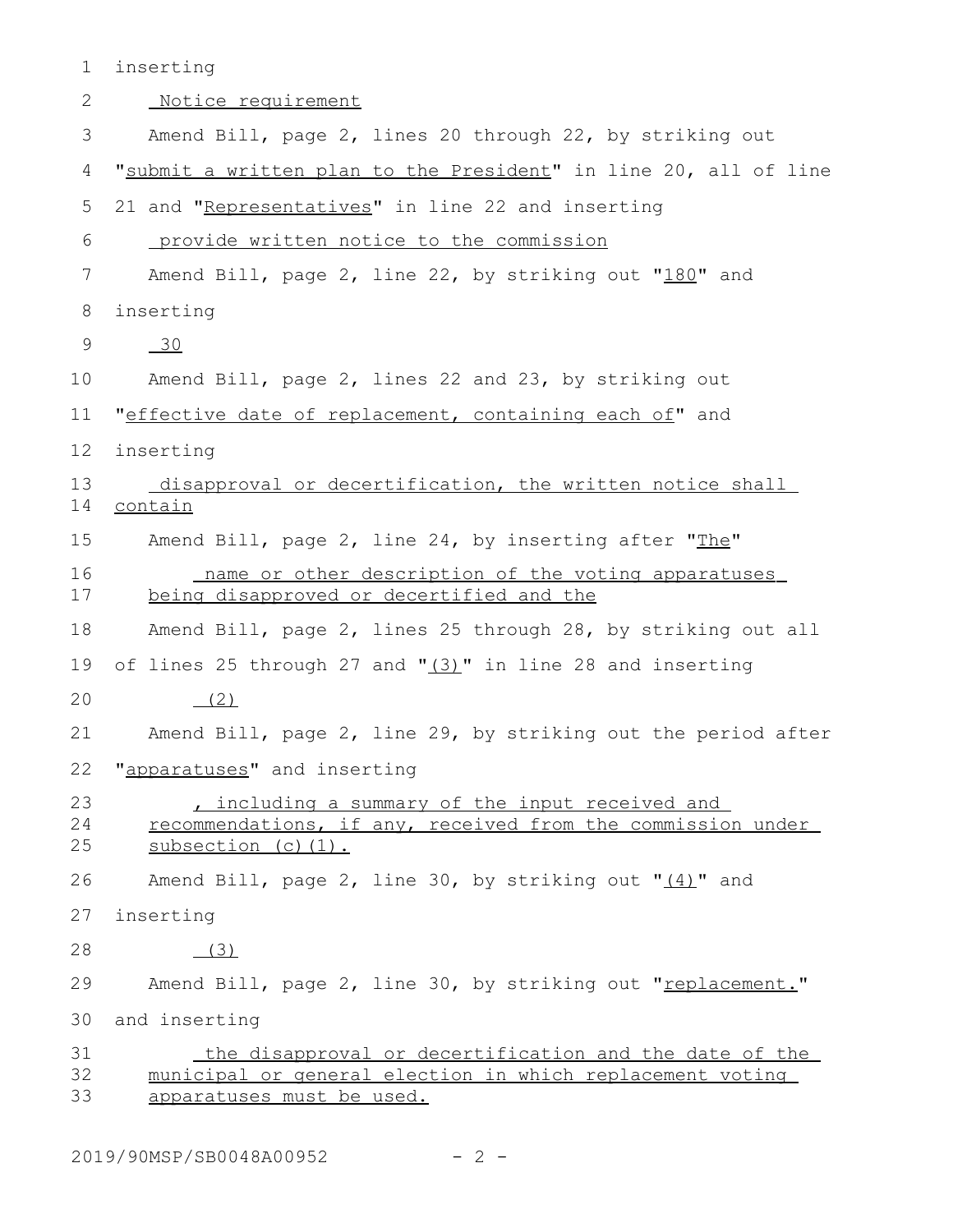| $\mathbf 1$    | inserting                                                                                                                                        |
|----------------|--------------------------------------------------------------------------------------------------------------------------------------------------|
| 2              | Notice requirement                                                                                                                               |
| 3              | Amend Bill, page 2, lines 20 through 22, by striking out                                                                                         |
| 4              | "submit a written plan to the President" in line 20, all of line                                                                                 |
| 5              | 21 and "Representatives" in line 22 and inserting                                                                                                |
| 6              | <u>provide written notice to the commission</u>                                                                                                  |
| 7              | Amend Bill, page 2, line 22, by striking out "180" and                                                                                           |
| 8              | inserting                                                                                                                                        |
| 9              | $-30$                                                                                                                                            |
| 10             | Amend Bill, page 2, lines 22 and 23, by striking out                                                                                             |
| 11             | "effective date of replacement, containing each of" and                                                                                          |
| 12             | inserting                                                                                                                                        |
| 13<br>14       | disapproval or decertification, the written notice shall<br>contain                                                                              |
| 15             | Amend Bill, page 2, line 24, by inserting after "The"                                                                                            |
| 16<br>17       | name or other description of the voting apparatuses<br>being disapproved or decertified and the                                                  |
| 18             | Amend Bill, page 2, lines 25 through 28, by striking out all                                                                                     |
| 19             | of lines 25 through 27 and "(3)" in line 28 and inserting                                                                                        |
| 20             | (2)                                                                                                                                              |
| 21             | Amend Bill, page 2, line 29, by striking out the period after                                                                                    |
| 22             | "apparatuses" and inserting                                                                                                                      |
| 23<br>24<br>25 | , including a summary of the input received and<br>recommendations, if any, received from the commission under<br>subsection (c) (1).            |
| 26             | Amend Bill, page 2, line 30, by striking out "(4)" and                                                                                           |
| 27             | inserting                                                                                                                                        |
| 28             | (3)                                                                                                                                              |
| 29             | Amend Bill, page 2, line 30, by striking out "replacement."                                                                                      |
| 30             | and inserting                                                                                                                                    |
| 31<br>32<br>33 | the disapproval or decertification and the date of the<br>municipal or general election in which replacement voting<br>apparatuses must be used. |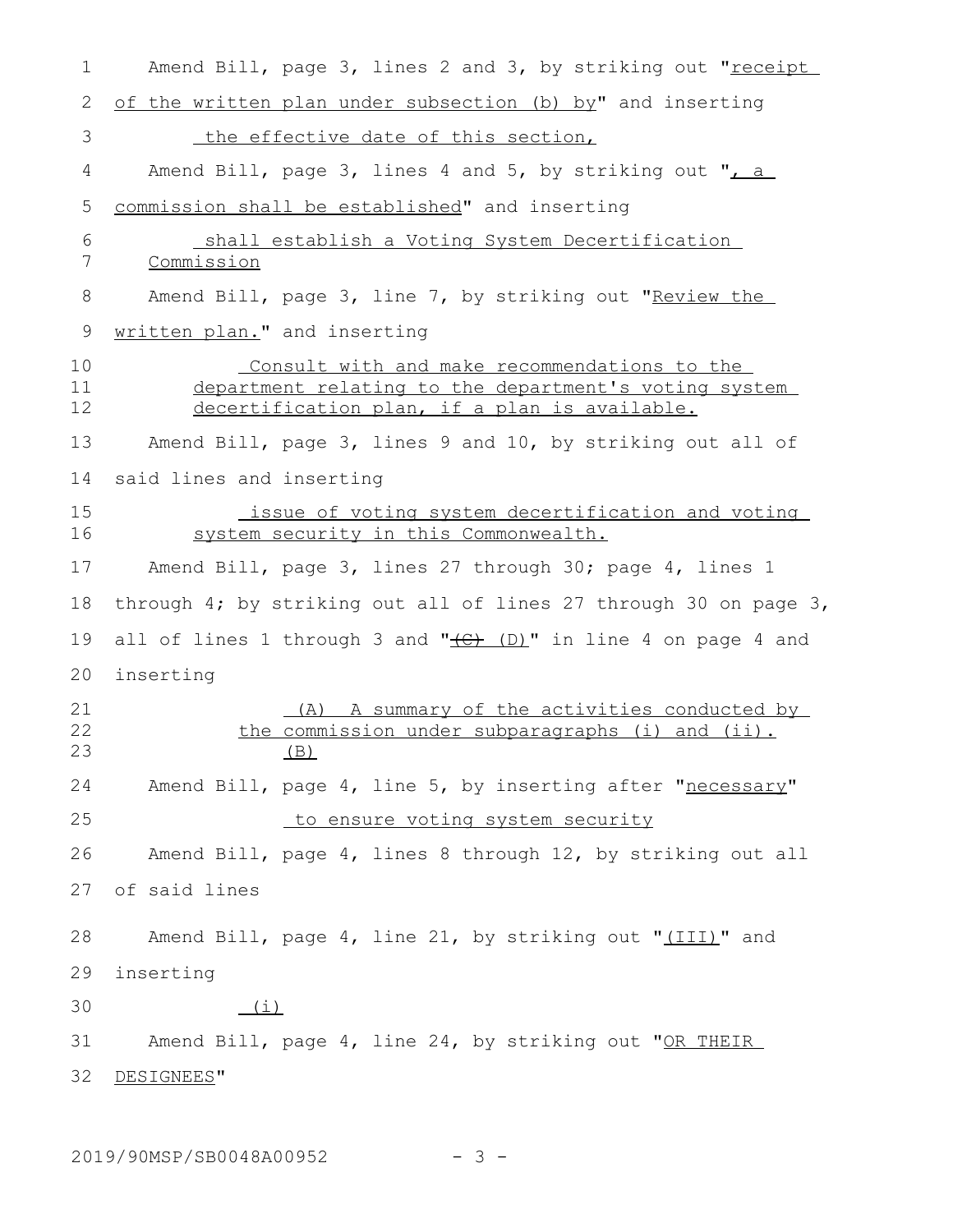Amend Bill, page 3, lines 2 and 3, by striking out "receipt of the written plan under subsection (b) by" and inserting the effective date of this section, Amend Bill, page 3, lines 4 and 5, by striking out ",  $a$ commission shall be established" and inserting shall establish a Voting System Decertification Commission Amend Bill, page 3, line 7, by striking out "Review the written plan." and inserting Consult with and make recommendations to the department relating to the department's voting system decertification plan, if a plan is available. Amend Bill, page 3, lines 9 and 10, by striking out all of said lines and inserting issue of voting system decertification and voting system security in this Commonwealth. Amend Bill, page 3, lines 27 through 30; page 4, lines 1 through 4; by striking out all of lines 27 through 30 on page 3, all of lines 1 through 3 and  $"$  $(E)$  (D)" in line 4 on page 4 and inserting (A) A summary of the activities conducted by the commission under subparagraphs (i) and (ii).  $(B)$ Amend Bill, page 4, line 5, by inserting after "necessary" to ensure voting system security Amend Bill, page 4, lines 8 through 12, by striking out all of said lines Amend Bill, page 4, line 21, by striking out "(III)" and inserting  $(i)$ Amend Bill, page 4, line 24, by striking out "OR THEIR DESIGNEES" 1 2 3 4 5 6 7 8 9 10 11 12 13 14 15 16 17 18 19 20 21 22 23 24 25 26 27 28 29 30 31 32

2019/90MSP/SB0048A00952 - 3 -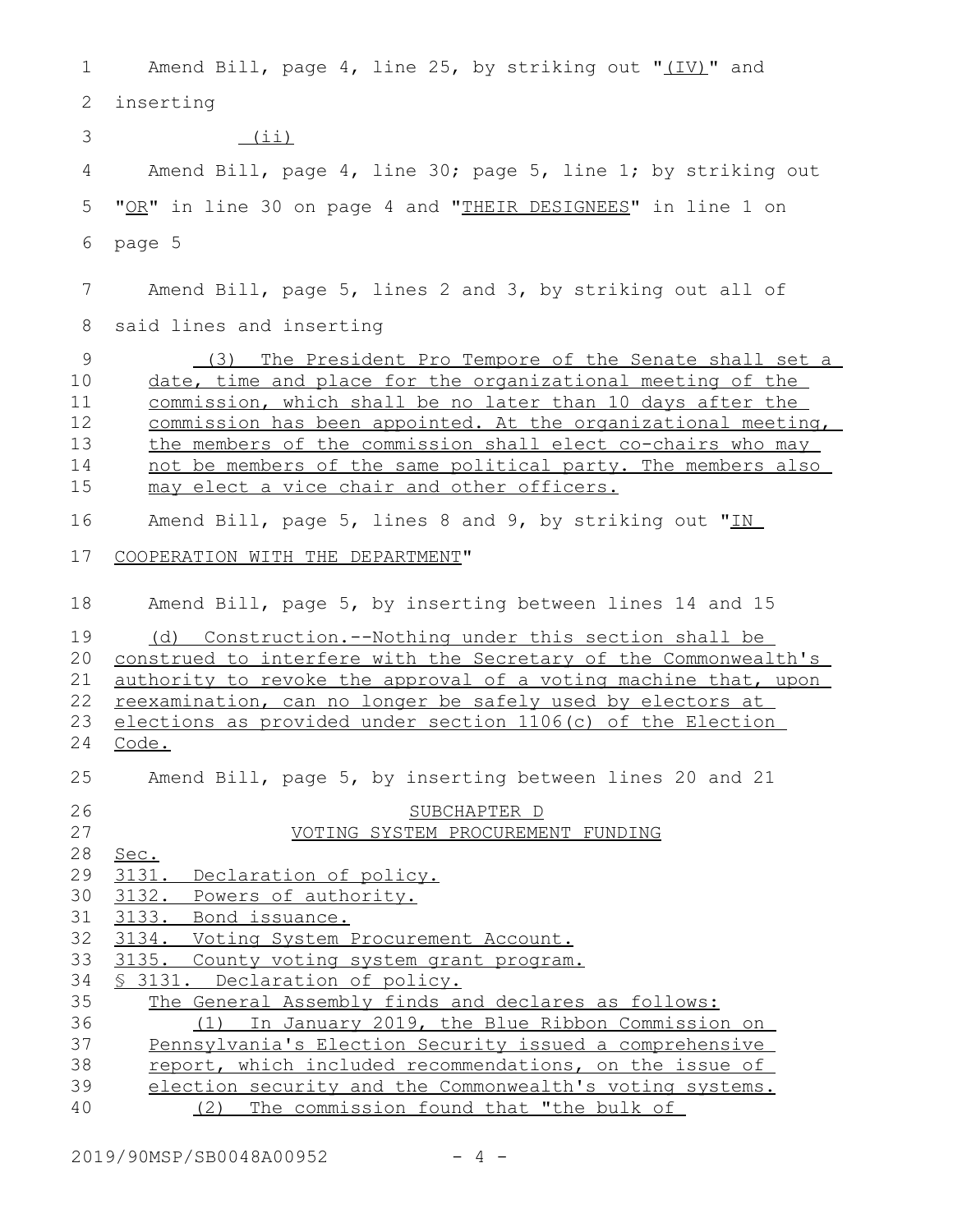| 1                                     | Amend Bill, page 4, line 25, by striking out "(IV)" and                                                                                                                                                                                                                                                                                                                                                                           |
|---------------------------------------|-----------------------------------------------------------------------------------------------------------------------------------------------------------------------------------------------------------------------------------------------------------------------------------------------------------------------------------------------------------------------------------------------------------------------------------|
| 2                                     | inserting                                                                                                                                                                                                                                                                                                                                                                                                                         |
| 3                                     | (iii)                                                                                                                                                                                                                                                                                                                                                                                                                             |
| 4                                     | Amend Bill, page 4, line 30; page 5, line 1; by striking out                                                                                                                                                                                                                                                                                                                                                                      |
| 5                                     | "OR" in line 30 on page 4 and "THEIR DESIGNEES" in line 1 on                                                                                                                                                                                                                                                                                                                                                                      |
| 6                                     | page 5                                                                                                                                                                                                                                                                                                                                                                                                                            |
|                                       |                                                                                                                                                                                                                                                                                                                                                                                                                                   |
| 7                                     | Amend Bill, page 5, lines 2 and 3, by striking out all of                                                                                                                                                                                                                                                                                                                                                                         |
| 8                                     | said lines and inserting                                                                                                                                                                                                                                                                                                                                                                                                          |
| 9<br>10<br>11<br>12<br>13<br>14<br>15 | (3) The President Pro Tempore of the Senate shall set a<br>date, time and place for the organizational meeting of the<br>commission, which shall be no later than 10 days after the<br>commission has been appointed. At the organizational meeting,<br>the members of the commission shall elect co-chairs who may<br>not be members of the same political party. The members also<br>may elect a vice chair and other officers. |
| 16                                    | Amend Bill, page 5, lines 8 and 9, by striking out "IN                                                                                                                                                                                                                                                                                                                                                                            |
| 17                                    | COOPERATION WITH THE DEPARTMENT"                                                                                                                                                                                                                                                                                                                                                                                                  |
| 18                                    | Amend Bill, page 5, by inserting between lines 14 and 15                                                                                                                                                                                                                                                                                                                                                                          |
| 19<br>20<br>21<br>22<br>23<br>24      | (d) Construction.--Nothing under this section shall be<br>construed to interfere with the Secretary of the Commonwealth's<br>authority to revoke the approval of a voting machine that, upon<br>reexamination, can no longer be safely used by electors at<br>elections as provided under section 1106(c) of the Election<br>Code.                                                                                                |
| 25                                    | Amend Bill, page 5, by inserting between lines 20 and 21                                                                                                                                                                                                                                                                                                                                                                          |
| 26<br>27<br>28                        | SUBCHAPTER D<br>VOTING SYSTEM PROCUREMENT FUNDING<br>Sec.                                                                                                                                                                                                                                                                                                                                                                         |
| 29<br>30<br>31<br>32                  | 3131. Declaration of policy.<br>3132. Powers of authority.<br>3133. Bond issuance.<br>3134. Voting System Procurement Account.                                                                                                                                                                                                                                                                                                    |
| 33<br>34                              | 3135. County voting system grant program.<br>§ 3131. Declaration of policy.                                                                                                                                                                                                                                                                                                                                                       |
| 35                                    | The General Assembly finds and declares as follows:                                                                                                                                                                                                                                                                                                                                                                               |
| 36                                    | (1) In January 2019, the Blue Ribbon Commission on                                                                                                                                                                                                                                                                                                                                                                                |
| 37                                    | Pennsylvania's Election Security issued a comprehensive                                                                                                                                                                                                                                                                                                                                                                           |
| 38                                    | report, which included recommendations, on the issue of                                                                                                                                                                                                                                                                                                                                                                           |
| 39                                    | election security and the Commonwealth's voting systems.                                                                                                                                                                                                                                                                                                                                                                          |
| 40                                    | The commission found that "the bulk of<br>(2)                                                                                                                                                                                                                                                                                                                                                                                     |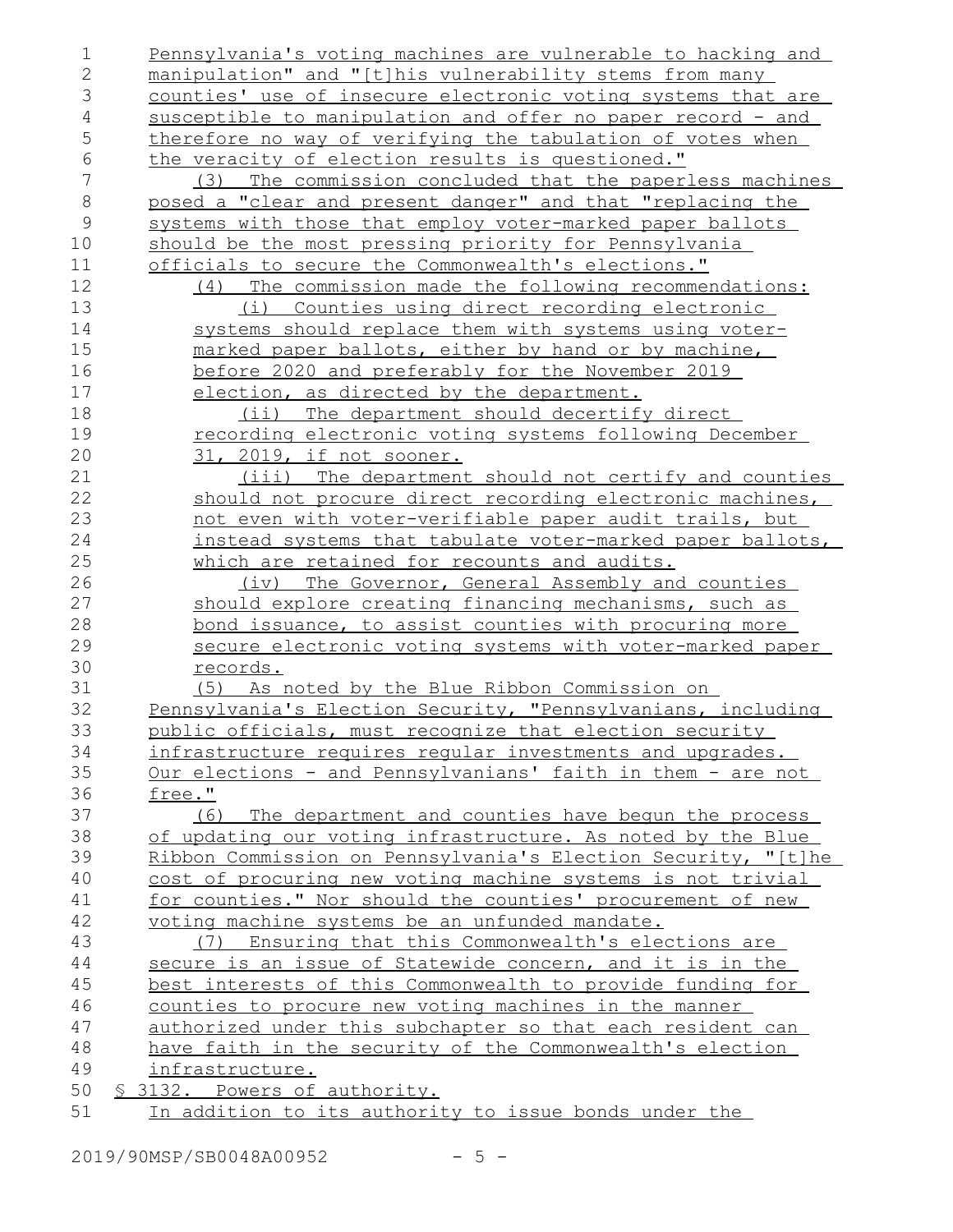| 1              | Pennsylvania's voting machines are vulnerable to hacking and  |
|----------------|---------------------------------------------------------------|
| $\overline{2}$ | manipulation" and "[t]his vulnerability stems from many       |
| 3              | counties' use of insecure electronic voting systems that are  |
| $\overline{4}$ | susceptible to manipulation and offer no paper record - and   |
| 5              | therefore no way of verifying the tabulation of votes when    |
| 6              | the veracity of election results is questioned."              |
| $\sqrt{}$      | (3) The commission concluded that the paperless machines      |
| $8\,$          | posed a "clear and present danger" and that "replacing the    |
| $\mathcal{G}$  | systems with those that employ voter-marked paper ballots     |
| 10             | should be the most pressing priority for Pennsylvania         |
| 11             | officials to secure the Commonwealth's elections."            |
| 12             | (4) The commission made the following recommendations:        |
| 13             | <u>(i) Counties using direct recording electronic</u>         |
| 14             | systems should replace them with systems using voter-         |
| 15             | marked paper ballots, either by hand or by machine,           |
| 16             | before 2020 and preferably for the November 2019              |
| 17             | election, as directed by the department.                      |
| 18             | The department should decertify direct<br>$(i$ i)             |
| 19             | recording electronic voting systems following December        |
| 20             | 31, 2019, if not sooner.                                      |
| 21             | (iii) The department should not certify and counties          |
| 22             | should not procure direct recording electronic machines,      |
| 23             | not even with voter-verifiable paper audit trails, but        |
| 24             | instead systems that tabulate voter-marked paper ballots,     |
| 25             | which are retained for recounts and audits.                   |
| 26             | The Governor, General Assembly and counties<br>$(i\vee)$      |
| 27             | should explore creating financing mechanisms, such as         |
| 28             | <u>bond issuance, to assist counties with procuring more</u>  |
| 29             | secure electronic voting systems with voter-marked paper      |
| 30             | <u>records.</u>                                               |
| 31             | (5) As noted by the Blue Ribbon Commission on                 |
| 32             | Pennsylvania's Election Security, "Pennsylvanians, including  |
| 33             | public officials, must recognize that election security       |
| 34             | infrastructure requires reqular investments and upgrades.     |
| 35             | Our elections - and Pennsylvanians' faith in them - are not   |
| 36             | free."                                                        |
| 37             | The department and counties have begun the process<br>(6)     |
| 38             | of updating our voting infrastructure. As noted by the Blue   |
| 39             | Ribbon Commission on Pennsylvania's Election Security, "[t]he |
| 40             | cost of procuring new voting machine systems is not trivial   |
| 41             | for counties." Nor should the counties' procurement of new    |
| 42             | voting machine systems be an unfunded mandate.                |
| 43             | (7) Ensuring that this Commonwealth's elections are           |
| 44             | secure is an issue of Statewide concern, and it is in the     |
| 45             | best interests of this Commonwealth to provide funding for    |
| 46             | counties to procure new voting machines in the manner         |
| 47             | authorized under this subchapter so that each resident can    |
| 48             | have faith in the security of the Commonwealth's election     |
| 49             | infrastructure.                                               |
| 50             | § 3132. Powers of authority.                                  |
| 51             | In addition to its authority to issue bonds under the         |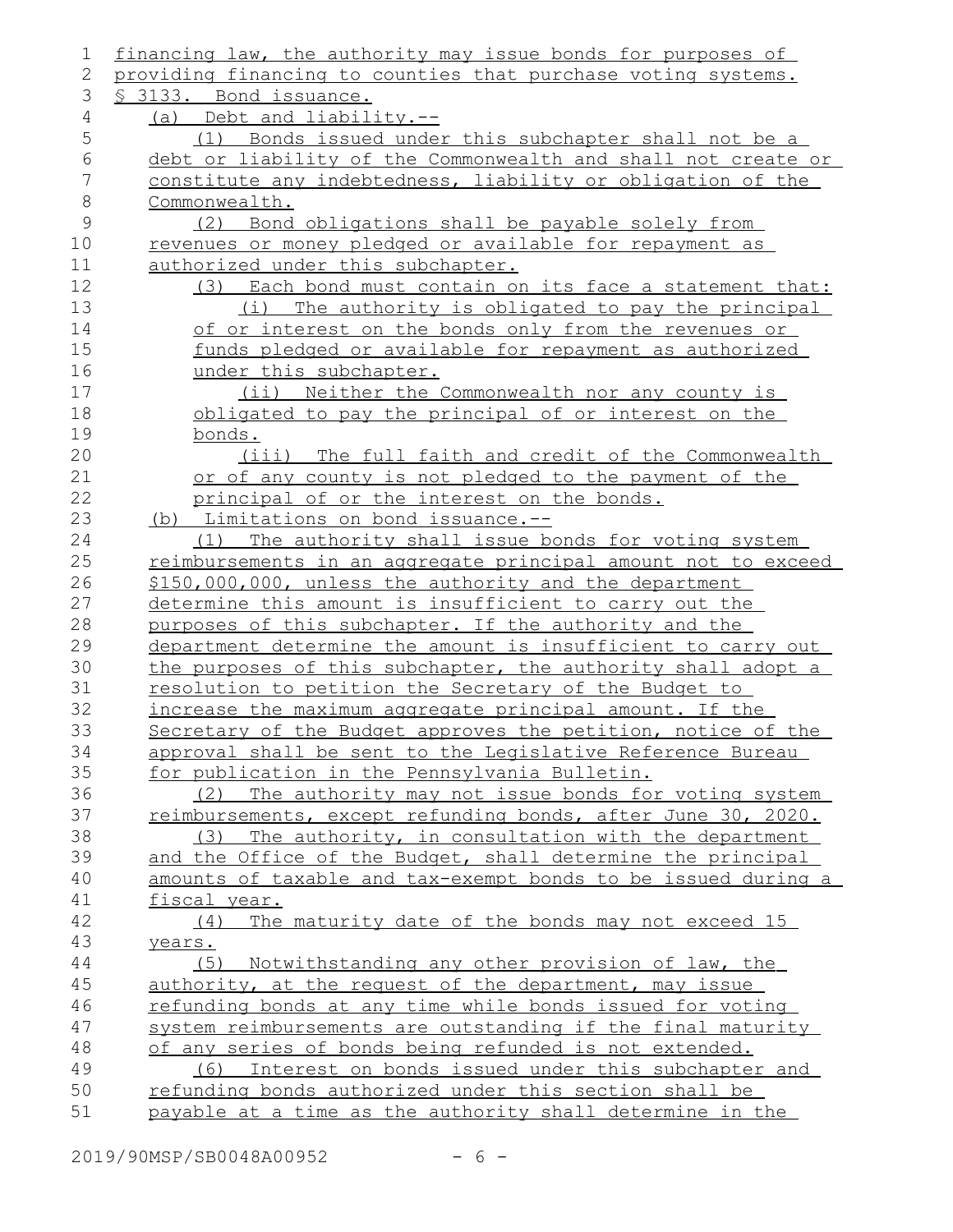| $\mathbf 1$    | financing law, the authority may issue bonds for purposes of                                                        |
|----------------|---------------------------------------------------------------------------------------------------------------------|
| 2              | providing financing to counties that purchase voting systems.                                                       |
| 3              | § 3133. Bond issuance.                                                                                              |
| 4              | (a) Debt and liability.--                                                                                           |
| 5              | (1) Bonds issued under this subchapter shall not be a                                                               |
| $\epsilon$     | debt or liability of the Commonwealth and shall not create or                                                       |
| $\overline{7}$ | constitute any indebtedness, liability or obligation of the                                                         |
| $\,8\,$        | Commonwealth.                                                                                                       |
| $\mathcal{G}$  | Bond obligations shall be payable solely from<br>(2)                                                                |
| 10             | revenues or money pledged or available for repayment as                                                             |
| 11             | authorized under this subchapter.                                                                                   |
| 12             | (3) Each bond must contain on its face a statement that:                                                            |
| 13             | The authority is obligated to pay the principal<br>(i)                                                              |
| 14             | of or interest on the bonds only from the revenues or                                                               |
| 15             | funds pledged or available for repayment as authorized                                                              |
| 16             | under this subchapter.                                                                                              |
| 17             | (ii) Neither the Commonwealth nor any county is                                                                     |
| 18             | obligated to pay the principal of or interest on the                                                                |
| 19             | bonds.                                                                                                              |
| 20             | (iii) The full faith and credit of the Commonwealth                                                                 |
| 21             | or of any county is not pledged to the payment of the                                                               |
| 22             | principal of or the interest on the bonds.                                                                          |
| 23             | (b) Limitations on bond issuance.--                                                                                 |
| 24             | (1) The authority shall issue bonds for voting system                                                               |
| 25             | reimbursements in an aggregate principal amount not to exceed                                                       |
| 26             | \$150,000,000, unless the authority and the department                                                              |
| 27             | determine this amount is insufficient to carry out the                                                              |
| 28             | purposes of this subchapter. If the authority and the                                                               |
| 29             | department determine the amount is insufficient to carry out                                                        |
| 30             | the purposes of this subchapter, the authority shall adopt a                                                        |
| 31             | resolution to petition the Secretary of the Budget to                                                               |
| 32             | increase the maximum aggregate principal amount. If the                                                             |
| 33<br>34       | Secretary of the Budget approves the petition, notice of the                                                        |
|                | approval shall be sent to the Legislative Reference Bureau                                                          |
| 35<br>36       | for publication in the Pennsylvania Bulletin.<br>(2)                                                                |
| 37             | The authority may not issue bonds for voting system<br>reimbursements, except refunding bonds, after June 30, 2020. |
| 38             | (3) The authority, in consultation with the department                                                              |
| 39             | and the Office of the Budget, shall determine the principal                                                         |
| 40             | amounts of taxable and tax-exempt bonds to be issued during a                                                       |
| 41             | fiscal year.                                                                                                        |
| 42             | The maturity date of the bonds may not exceed 15<br>(4)                                                             |
| 43             | years.                                                                                                              |
| 44             | Notwithstanding any other provision of law, the<br>(5)                                                              |
| 45             | authority, at the request of the department, may issue                                                              |
| 46             | refunding bonds at any time while bonds issued for voting                                                           |
| 47             | system reimbursements are outstanding if the final maturity                                                         |
| 48             | of any series of bonds being refunded is not extended.                                                              |
| 49             | (6) Interest on bonds issued under this subchapter and                                                              |
| 50             | refunding bonds authorized under this section shall be                                                              |
| 51             | payable at a time as the authority shall determine in the                                                           |
|                |                                                                                                                     |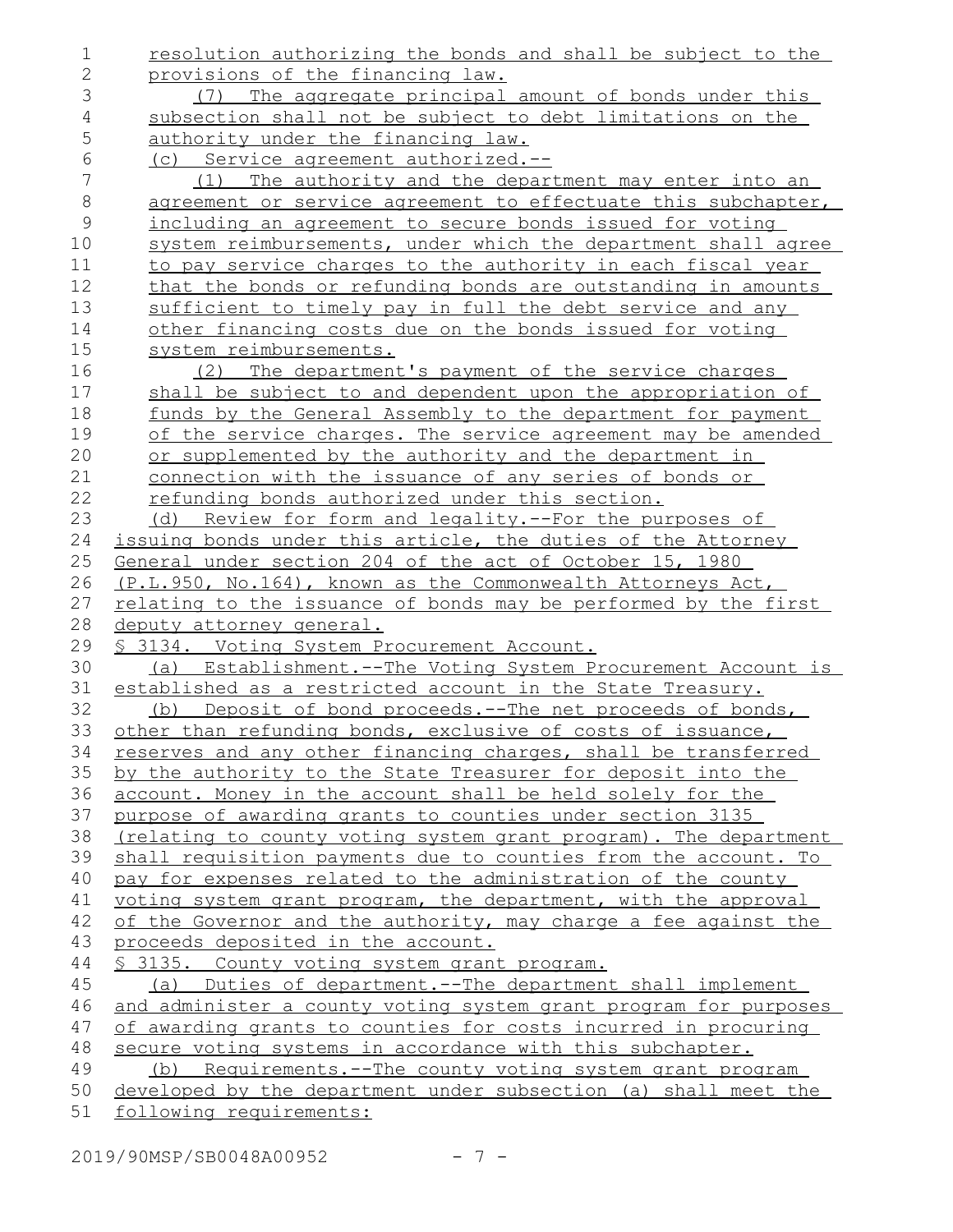| 1              | resolution authorizing the bonds and shall be subject to the                                                            |
|----------------|-------------------------------------------------------------------------------------------------------------------------|
| $\overline{2}$ | provisions of the financing law.                                                                                        |
| 3              | (7) The aggregate principal amount of bonds under this                                                                  |
| $\overline{4}$ | subsection shall not be subject to debt limitations on the                                                              |
| 5              | authority under the financing law.                                                                                      |
| $\sqrt{6}$     | (c) Service agreement authorized.--                                                                                     |
| $\sqrt{}$      | The authority and the department may enter into an<br>(1)                                                               |
| $\,8\,$        | agreement or service agreement to effectuate this subchapter,                                                           |
| $\mathsf 9$    | including an agreement to secure bonds issued for voting                                                                |
| 10             | system reimbursements, under which the department shall agree                                                           |
| 11             | to pay service charges to the authority in each fiscal year                                                             |
| 12             | that the bonds or refunding bonds are outstanding in amounts                                                            |
| 13             | sufficient to timely pay in full the debt service and any                                                               |
| 14             | other financing costs due on the bonds issued for voting                                                                |
| 15             | system reimbursements.                                                                                                  |
| 16             | (2) The department's payment of the service charges                                                                     |
| 17             | shall be subject to and dependent upon the appropriation of                                                             |
| 18             | funds by the General Assembly to the department for payment                                                             |
| 19             | of the service charges. The service agreement may be amended                                                            |
| 20             | or supplemented by the authority and the department in                                                                  |
| 21             | <u>connection with the issuance of any series of bonds or</u>                                                           |
| 22             | refunding bonds authorized under this section.                                                                          |
| 23             | (d) Review for form and legality.--For the purposes of                                                                  |
| 24             | issuing bonds under this article, the duties of the Attorney                                                            |
| 25             | General under section 204 of the act of October 15, 1980                                                                |
| 26             | (P.L.950, No.164), known as the Commonwealth Attorneys Act,                                                             |
| 27             | <u>relating to the issuance of bonds may be performed by the first</u>                                                  |
| 28             | deputy attorney general.                                                                                                |
| 29             | <u>S 3134. Voting System Procurement Account.</u>                                                                       |
| 30             | (a) Establishment.--The Voting System Procurement Account is                                                            |
| 31             | established as a restricted account in the State Treasury.                                                              |
| 32             | Deposit of bond proceeds.--The net proceeds of bonds,<br>(b)                                                            |
| 33             | other than refunding bonds, exclusive of costs of issuance,                                                             |
| 34             | reserves and any other financing charges, shall be transferred                                                          |
| 35             | by the authority to the State Treasurer for deposit into the                                                            |
| 36<br>37       | account. Money in the account shall be held solely for the<br>purpose of awarding grants to counties under section 3135 |
| 38             | (relating to county voting system grant program). The department                                                        |
| 39             | shall requisition payments due to counties from the account. To                                                         |
| 40             | pay for expenses related to the administration of the county                                                            |
| 41             | voting system grant program, the department, with the approval                                                          |
| 42             | of the Governor and the authority, may charge a fee against the                                                         |
| 43             | proceeds deposited in the account.                                                                                      |
| 44             | <u>S 3135. County voting system grant program.</u>                                                                      |
| 45             | (a) Duties of department.--The department shall implement                                                               |
| 46             | and administer a county voting system grant program for purposes                                                        |
| 47             | of awarding grants to counties for costs incurred in procuring                                                          |
| 48             | secure voting systems in accordance with this subchapter.                                                               |
| 49             | (b) Requirements.--The county voting system grant program                                                               |
| 50             | developed by the department under subsection (a) shall meet the                                                         |
| 51             | following requirements:                                                                                                 |